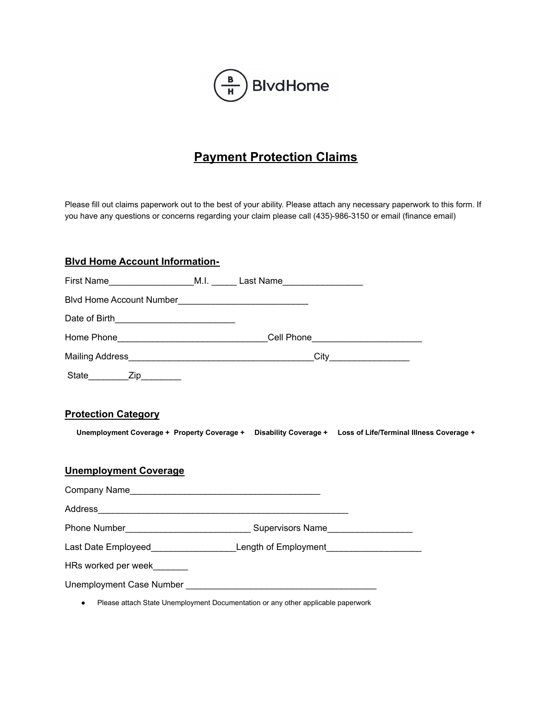

# **Payment Protection Claims**

Please fill out claims paperwork out to the best of your ability. Please attach any necessary paperwork to this form. If you have any questions or concerns regarding your claim please call (435)-986-3150 or email (finance email)

#### **Blvd Home Account Information-**

| Home Phone_________________________________Cell Phone___________________________ |                                                                                  |                                                                                                            |
|----------------------------------------------------------------------------------|----------------------------------------------------------------------------------|------------------------------------------------------------------------------------------------------------|
|                                                                                  |                                                                                  |                                                                                                            |
| State_________Zip_________                                                       |                                                                                  |                                                                                                            |
| <b>Protection Category</b><br><b>Unemployment Coverage</b>                       |                                                                                  | Unemployment Coverage + Property Coverage + Disability Coverage + Loss of Life/Terminal Illness Coverage + |
|                                                                                  |                                                                                  |                                                                                                            |
|                                                                                  |                                                                                  |                                                                                                            |
| Phone Number__________________________________Supervisors Name__________________ |                                                                                  |                                                                                                            |
| Last Date Employeed_________________________Length of Employment________________ |                                                                                  |                                                                                                            |
| HRs worked per week_______                                                       |                                                                                  |                                                                                                            |
|                                                                                  |                                                                                  |                                                                                                            |
| $\bullet$                                                                        | Please attach State Unemployment Documentation or any other applicable paperwork |                                                                                                            |